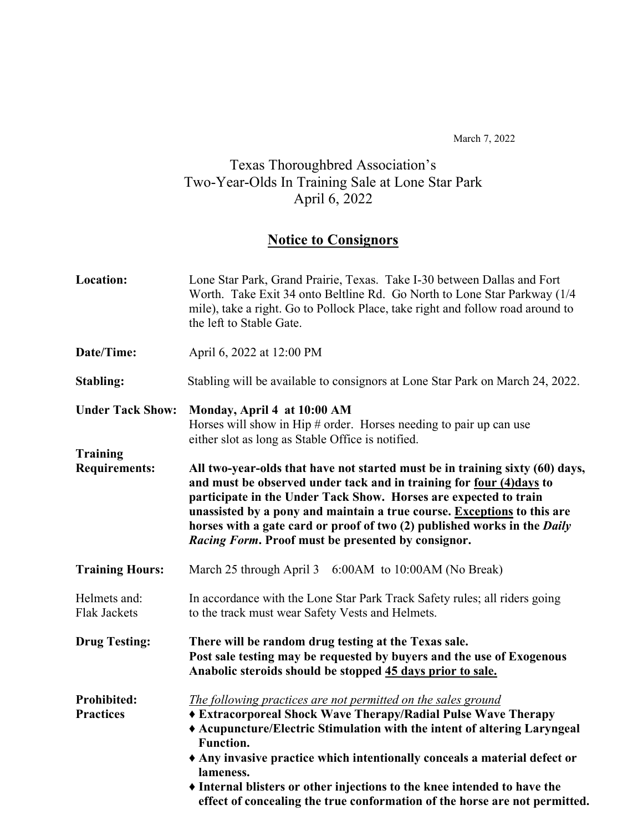March 7, 2022

#### Texas Thoroughbred Association's Two-Year-Olds In Training Sale at Lone Star Park April 6, 2022

#### **Notice to Consignors**

| Location:                               | Lone Star Park, Grand Prairie, Texas. Take I-30 between Dallas and Fort<br>Worth. Take Exit 34 onto Beltline Rd. Go North to Lone Star Parkway (1/4)<br>mile), take a right. Go to Pollock Place, take right and follow road around to<br>the left to Stable Gate.                                                                                                                                                                                                                                                                                                                               |  |
|-----------------------------------------|--------------------------------------------------------------------------------------------------------------------------------------------------------------------------------------------------------------------------------------------------------------------------------------------------------------------------------------------------------------------------------------------------------------------------------------------------------------------------------------------------------------------------------------------------------------------------------------------------|--|
| Date/Time:                              | April 6, 2022 at 12:00 PM                                                                                                                                                                                                                                                                                                                                                                                                                                                                                                                                                                        |  |
| Stabling:                               | Stabling will be available to consignors at Lone Star Park on March 24, 2022.                                                                                                                                                                                                                                                                                                                                                                                                                                                                                                                    |  |
| <b>Under Tack Show:</b>                 | Monday, April 4 at 10:00 AM<br>Horses will show in Hip $#$ order. Horses needing to pair up can use<br>either slot as long as Stable Office is notified.<br>All two-year-olds that have not started must be in training sixty (60) days,<br>and must be observed under tack and in training for four (4)days to<br>participate in the Under Tack Show. Horses are expected to train<br>unassisted by a pony and maintain a true course. Exceptions to this are<br>horses with a gate card or proof of two (2) published works in the Daily<br>Racing Form. Proof must be presented by consignor. |  |
| <b>Training</b><br><b>Requirements:</b> |                                                                                                                                                                                                                                                                                                                                                                                                                                                                                                                                                                                                  |  |
| <b>Training Hours:</b>                  | March 25 through April 3 6:00AM to 10:00AM (No Break)                                                                                                                                                                                                                                                                                                                                                                                                                                                                                                                                            |  |
| Helmets and:<br><b>Flak Jackets</b>     | In accordance with the Lone Star Park Track Safety rules; all riders going<br>to the track must wear Safety Vests and Helmets.                                                                                                                                                                                                                                                                                                                                                                                                                                                                   |  |
| <b>Drug Testing:</b>                    | There will be random drug testing at the Texas sale.<br>Post sale testing may be requested by buyers and the use of Exogenous<br>Anabolic steroids should be stopped 45 days prior to sale.                                                                                                                                                                                                                                                                                                                                                                                                      |  |
| <b>Prohibited:</b><br><b>Practices</b>  | The following practices are not permitted on the sales ground<br>♦ Extracorporeal Shock Wave Therapy/Radial Pulse Wave Therapy<br>◆ Acupuncture/Electric Stimulation with the intent of altering Laryngeal<br><b>Function.</b><br>Any invasive practice which intentionally conceals a material defect or<br>lameness.<br>• Internal blisters or other injections to the knee intended to have the<br>effect of concealing the true conformation of the horse are not permitted.                                                                                                                 |  |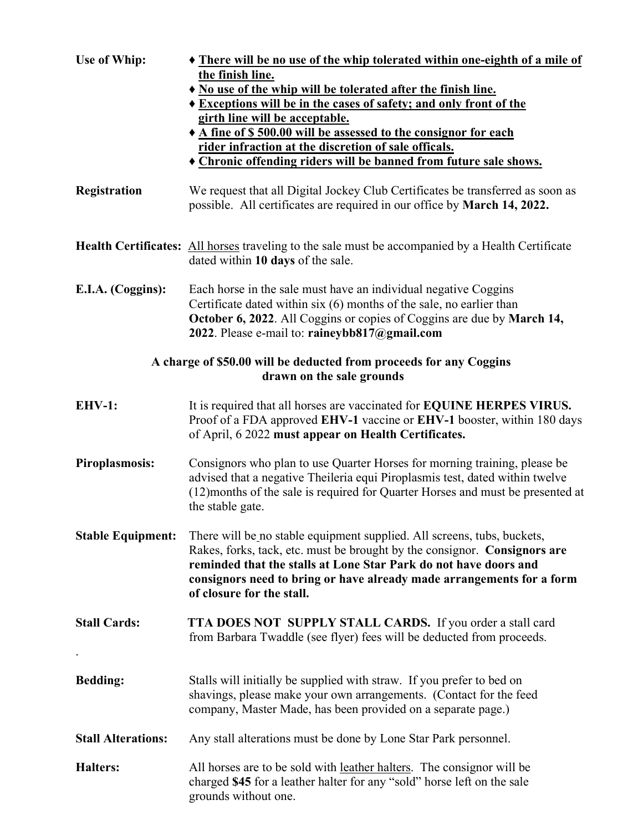| Use of Whip:                                                                                    | • There will be no use of the whip tolerated within one-eighth of a mile of<br>the finish line.<br>No use of the whip will be tolerated after the finish line.<br><b>* Exceptions will be in the cases of safety; and only front of the</b><br>girth line will be acceptable.<br>◆ A fine of \$500.00 will be assessed to the consignor for each<br>rider infraction at the discretion of sale officals.<br><b>Chronic offending riders will be banned from future sale shows.</b> |  |
|-------------------------------------------------------------------------------------------------|------------------------------------------------------------------------------------------------------------------------------------------------------------------------------------------------------------------------------------------------------------------------------------------------------------------------------------------------------------------------------------------------------------------------------------------------------------------------------------|--|
| Registration                                                                                    | We request that all Digital Jockey Club Certificates be transferred as soon as<br>possible. All certificates are required in our office by March 14, 2022.                                                                                                                                                                                                                                                                                                                         |  |
|                                                                                                 | <b>Health Certificates:</b> All horses traveling to the sale must be accompanied by a Health Certificate<br>dated within 10 days of the sale.                                                                                                                                                                                                                                                                                                                                      |  |
| E.I.A. (Coggins):                                                                               | Each horse in the sale must have an individual negative Coggins<br>Certificate dated within $six(6)$ months of the sale, no earlier than<br>October 6, 2022. All Coggins or copies of Coggins are due by March 14,<br>2022. Please e-mail to: raineybb817@gmail.com                                                                                                                                                                                                                |  |
| A charge of \$50.00 will be deducted from proceeds for any Coggins<br>drawn on the sale grounds |                                                                                                                                                                                                                                                                                                                                                                                                                                                                                    |  |
| <b>EHV-1:</b>                                                                                   | It is required that all horses are vaccinated for <b>EQUINE HERPES VIRUS.</b><br>Proof of a FDA approved EHV-1 vaccine or EHV-1 booster, within 180 days<br>of April, 6 2022 must appear on Health Certificates.                                                                                                                                                                                                                                                                   |  |
| <b>Piroplasmosis:</b>                                                                           | Consignors who plan to use Quarter Horses for morning training, please be<br>advised that a negative Theileria equi Piroplasmis test, dated within twelve<br>(12)months of the sale is required for Quarter Horses and must be presented at<br>the stable gate.                                                                                                                                                                                                                    |  |
| <b>Stable Equipment:</b>                                                                        | There will be no stable equipment supplied. All screens, tubs, buckets,<br>Rakes, forks, tack, etc. must be brought by the consignor. Consignors are<br>reminded that the stalls at Lone Star Park do not have doors and<br>consignors need to bring or have already made arrangements for a form<br>of closure for the stall.                                                                                                                                                     |  |
| <b>Stall Cards:</b>                                                                             | TTA DOES NOT SUPPLY STALL CARDS. If you order a stall card<br>from Barbara Twaddle (see flyer) fees will be deducted from proceeds.                                                                                                                                                                                                                                                                                                                                                |  |
| <b>Bedding:</b>                                                                                 | Stalls will initially be supplied with straw. If you prefer to bed on<br>shavings, please make your own arrangements. (Contact for the feed<br>company, Master Made, has been provided on a separate page.)                                                                                                                                                                                                                                                                        |  |
| <b>Stall Alterations:</b>                                                                       | Any stall alterations must be done by Lone Star Park personnel.                                                                                                                                                                                                                                                                                                                                                                                                                    |  |
| <b>Halters:</b>                                                                                 | All horses are to be sold with <u>leather halters</u> . The consignor will be<br>charged \$45 for a leather halter for any "sold" horse left on the sale<br>grounds without one.                                                                                                                                                                                                                                                                                                   |  |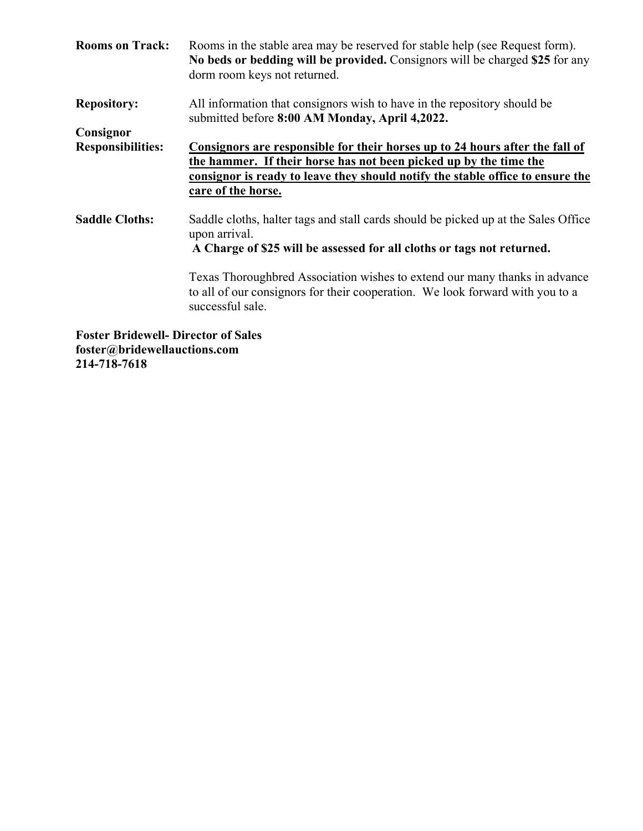| <b>Rooms on Track:</b>                     | Rooms in the stable area may be reserved for stable help (see Request form).<br>No beds or bedding will be provided. Consignors will be charged \$25 for any<br>dorm room keys not returned.                                                                     |
|--------------------------------------------|------------------------------------------------------------------------------------------------------------------------------------------------------------------------------------------------------------------------------------------------------------------|
| <b>Repository:</b>                         | All information that consignors wish to have in the repository should be<br>submitted before 8:00 AM Monday, April 4,2022.                                                                                                                                       |
| Consignor                                  |                                                                                                                                                                                                                                                                  |
| <b>Responsibilities:</b>                   | Consignors are responsible for their horses up to 24 hours after the fall of<br>the hammer. If their horse has not been picked up by the time the<br><u>consignor is ready to leave they should notify the stable office to ensure the</u><br>care of the horse. |
| <b>Saddle Cloths:</b>                      | Saddle cloths, halter tags and stall cards should be picked up at the Sales Office<br>upon arrival.<br>A Charge of \$25 will be assessed for all cloths or tags not returned.                                                                                    |
|                                            | Texas Thoroughbred Association wishes to extend our many thanks in advance<br>to all of our consignors for their cooperation. We look forward with you to a<br>successful sale.                                                                                  |
| <b>Foster Bridewell- Director of Sales</b> |                                                                                                                                                                                                                                                                  |

**foster@bridewellauctions.com 214-718-7618**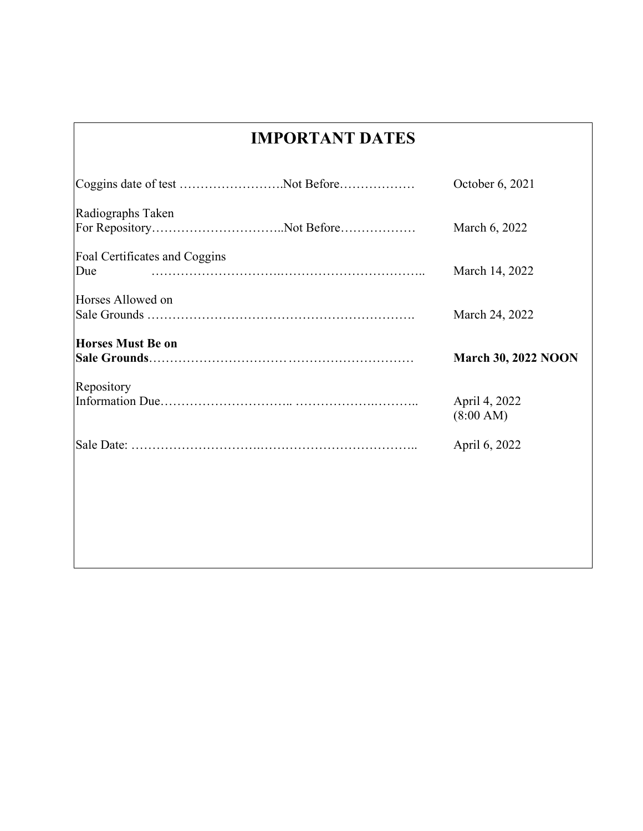### **IMPORTANT DATES**

|                                      | October 6, 2021            |
|--------------------------------------|----------------------------|
| Radiographs Taken                    | March 6, 2022              |
| Foal Certificates and Coggins<br>Due | March 14, 2022             |
| Horses Allowed on                    | March 24, 2022             |
| <b>Horses Must Be on</b>             | <b>March 30, 2022 NOON</b> |
| Repository                           | April 4, 2022<br>(8:00 AM) |
|                                      |                            |
|                                      | April 6, 2022              |
|                                      |                            |
|                                      |                            |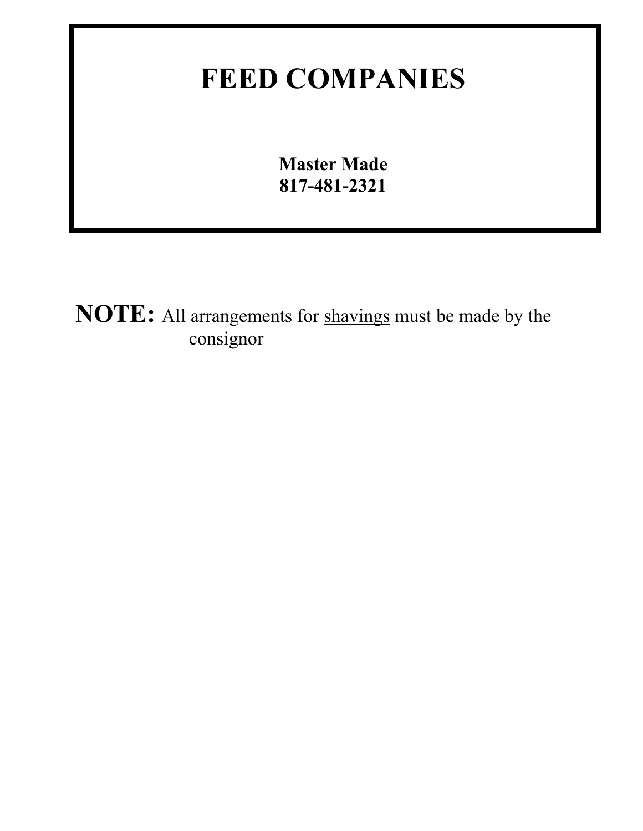## **FEED COMPANIES**

**Master Made 817-481-2321**

**NOTE:** All arrangements for shavings must be made by the consignor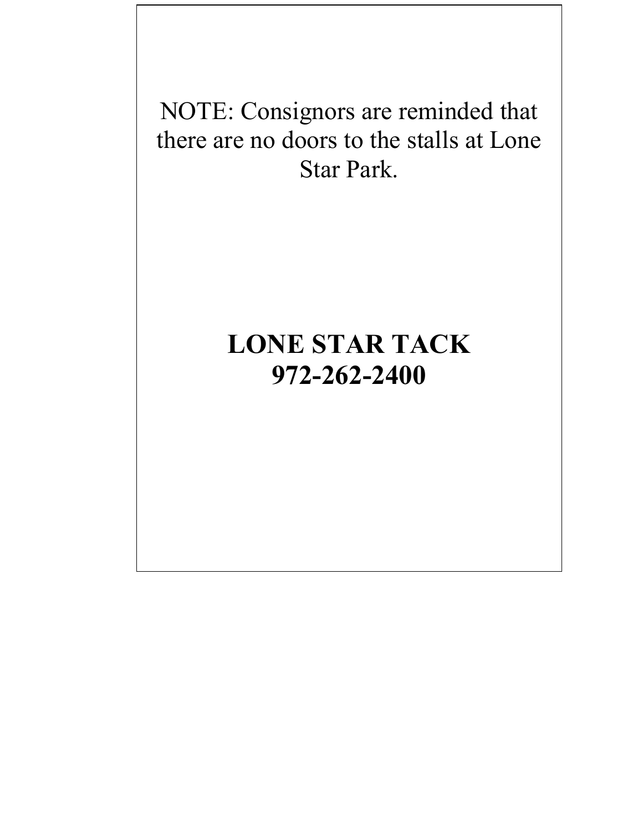NOTE: Consignors are reminded that there are no doors to the stalls at Lone Star Park.

## **20 972-262-2400LONE STAR TACK**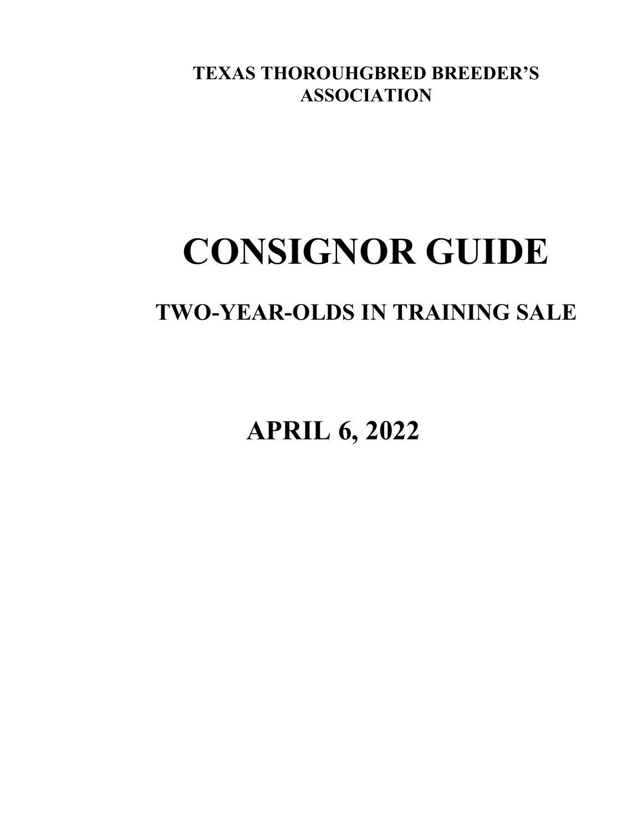**TEXAS THOROUHGBRED BREEDER'S ASSOCIATION**

# **CONSIGNOR GUIDE**

### **TWO-YEAR-OLDS IN TRAINING SALE**

**APRIL 6, 2022**